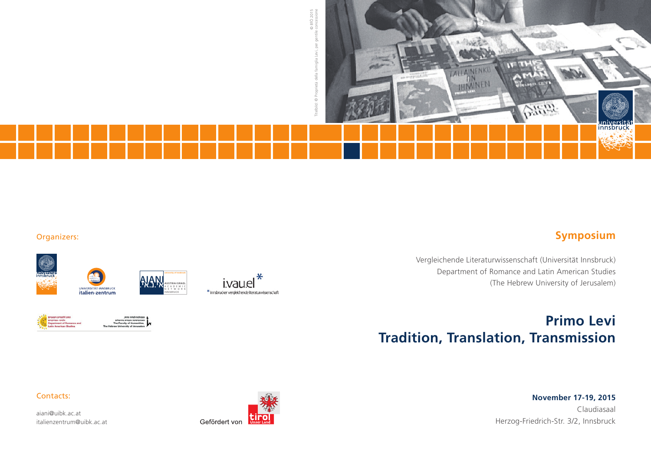

### Organizers:









university of innsbruck







Vergleichende Literaturwissenschaft (Universität Innsbruck) Department of Romance and Latin American Studies (The Hebrew University of Jerusalem)

# **Primo Levi Tradition, Translation, Transmission**

#### Contacts:

aiani@uibk.ac.at italienzentrum@uibk.ac.at



**November 17-19, 2015** Claudiasaal Herzog-Friedrich-Str. 3/2, Innsbruck